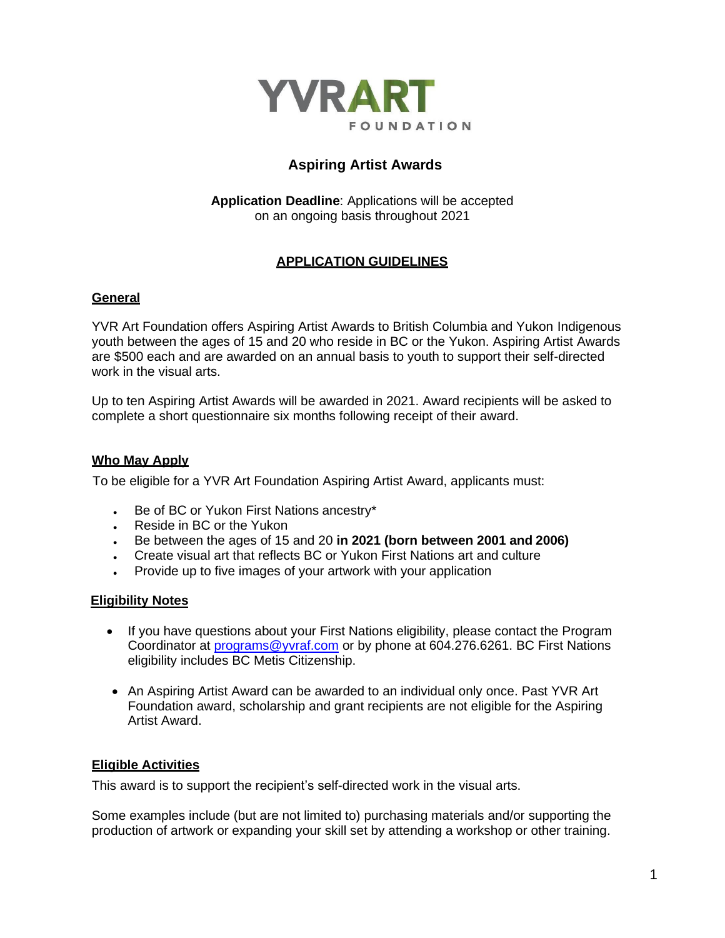

# **Aspiring Artist Awards**

**Application Deadline**: Applications will be accepted on an ongoing basis throughout 2021

# **APPLICATION GUIDELINES**

### **General**

YVR Art Foundation offers Aspiring Artist Awards to British Columbia and Yukon Indigenous youth between the ages of 15 and 20 who reside in BC or the Yukon. Aspiring Artist Awards are \$500 each and are awarded on an annual basis to youth to support their self-directed work in the visual arts.

Up to ten Aspiring Artist Awards will be awarded in 2021. Award recipients will be asked to complete a short questionnaire six months following receipt of their award.

#### **Who May Apply**

To be eligible for a YVR Art Foundation Aspiring Artist Award, applicants must:

- Be of BC or Yukon First Nations ancestry\*
- Reside in BC or the Yukon
- Be between the ages of 15 and 20 **in 2021 (born between 2001 and 2006)**
- Create visual art that reflects BC or Yukon First Nations art and culture
- Provide up to five images of your artwork with your application

### **Eligibility Notes**

- If you have questions about your First Nations eligibility, please contact the Program Coordinator at [programs@yvraf.com](mailto:programs@yvraf.com) or by phone at 604.276.6261. BC First Nations eligibility includes BC Metis Citizenship.
- An Aspiring Artist Award can be awarded to an individual only once. Past YVR Art Foundation award, scholarship and grant recipients are not eligible for the Aspiring Artist Award.

### **Eligible Activities**

This award is to support the recipient's self-directed work in the visual arts.

Some examples include (but are not limited to) purchasing materials and/or supporting the production of artwork or expanding your skill set by attending a workshop or other training.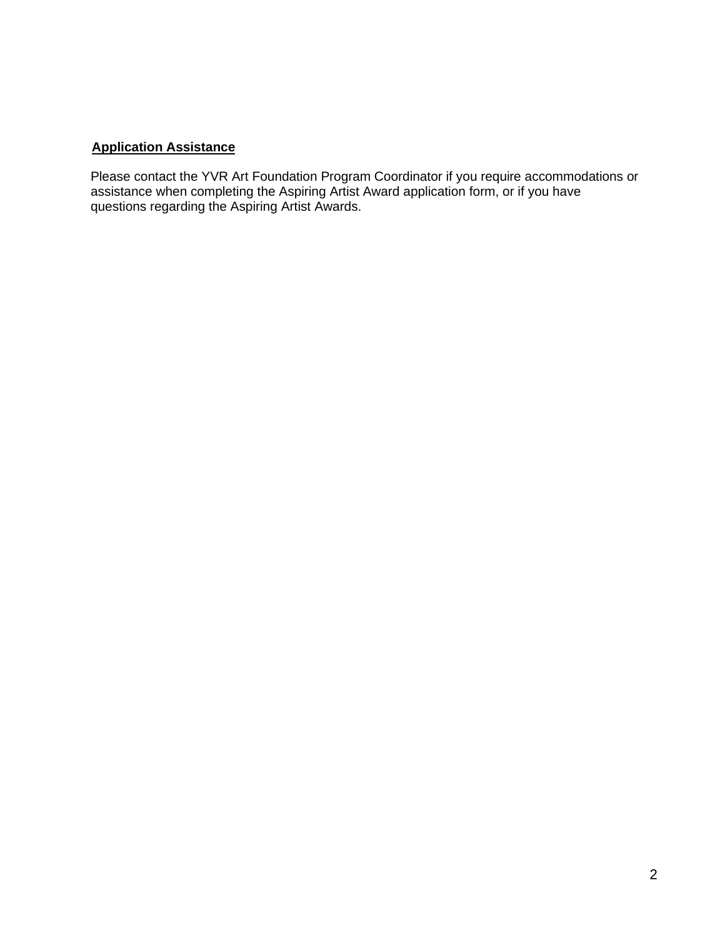# **Application Assistance**

Please contact the YVR Art Foundation Program Coordinator if you require accommodations or assistance when completing the Aspiring Artist Award application form, or if you have questions regarding the Aspiring Artist Awards.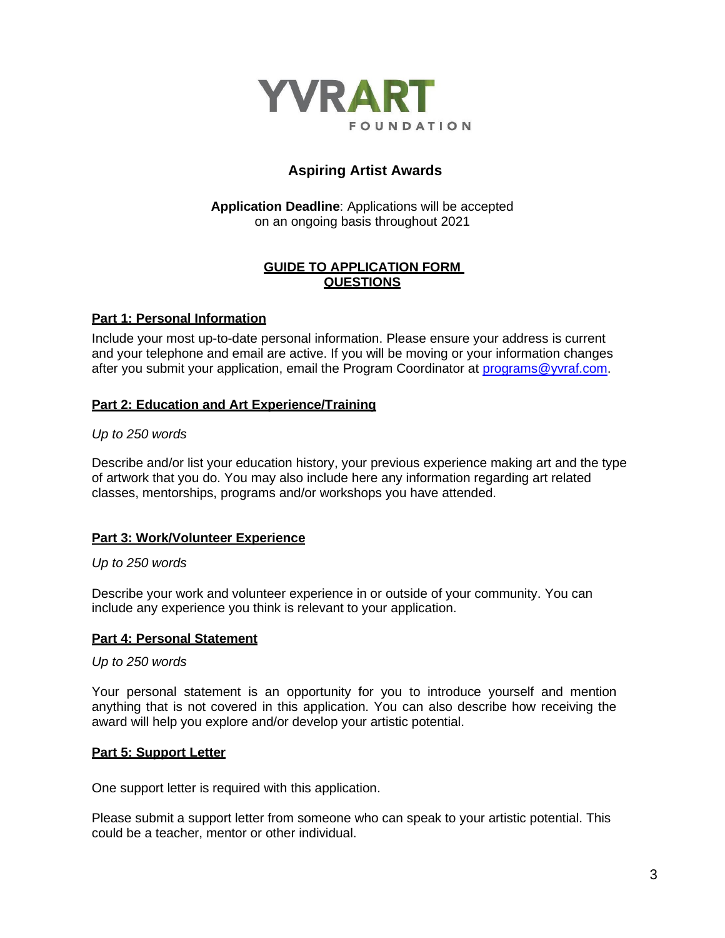

# **Aspiring Artist Awards**

### **Application Deadline**: Applications will be accepted on an ongoing basis throughout 2021

### **GUIDE TO APPLICATION FORM QUESTIONS**

### **Part 1: Personal Information**

Include your most up-to-date personal information. Please ensure your address is current and your telephone and email are active. If you will be moving or your information changes after you submit your application, email the Program Coordinator at [programs@yvraf.com.](mailto:programs@yvraf.com)

# **Part 2: Education and Art Experience/Training**

### *Up to 250 words*

Describe and/or list your education history, your previous experience making art and the type of artwork that you do. You may also include here any information regarding art related classes, mentorships, programs and/or workshops you have attended.

### **Part 3: Work/Volunteer Experience**

### *Up to 250 words*

Describe your work and volunteer experience in or outside of your community. You can include any experience you think is relevant to your application.

### **Part 4: Personal Statement**

#### *Up to 250 words*

Your personal statement is an opportunity for you to introduce yourself and mention anything that is not covered in this application. You can also describe how receiving the award will help you explore and/or develop your artistic potential.

### **Part 5: Support Letter**

One support letter is required with this application.

Please submit a support letter from someone who can speak to your artistic potential. This could be a teacher, mentor or other individual.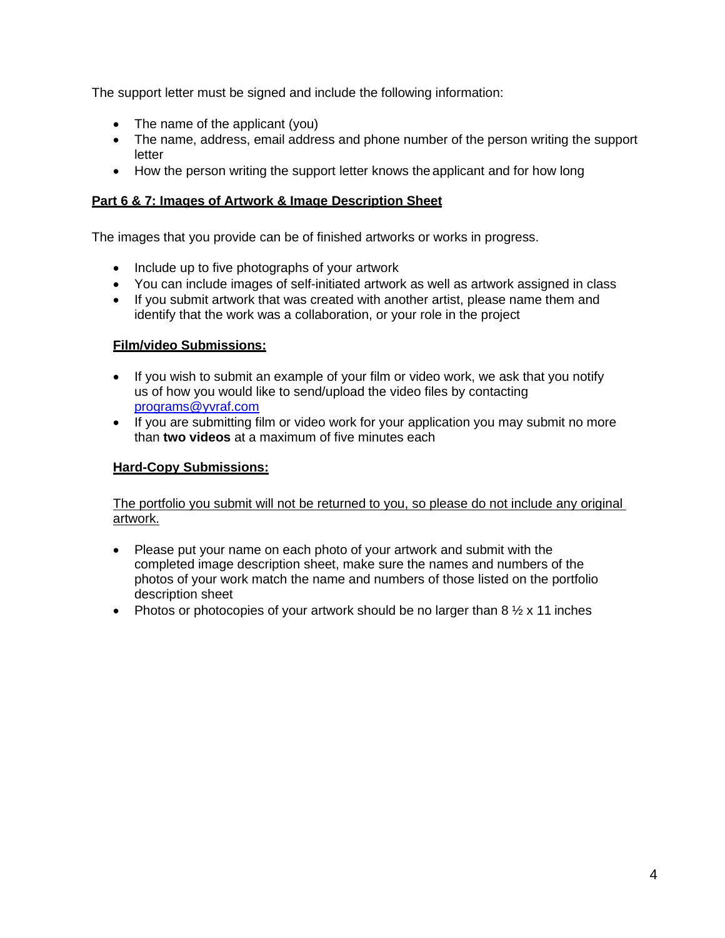The support letter must be signed and include the following information:

- The name of the applicant (you)
- The name, address, email address and phone number of the person writing the support letter
- How the person writing the support letter knows the applicant and for how long

# **Part 6 & 7: Images of Artwork & Image Description Sheet**

The images that you provide can be of finished artworks or works in progress.

- Include up to five photographs of your artwork
- You can include images of self-initiated artwork as well as artwork assigned in class
- If you submit artwork that was created with another artist, please name them and identify that the work was a collaboration, or your role in the project

# **Film/video Submissions:**

- If you wish to submit an example of your film or video work, we ask that you notify us of how you would like to send/upload the video files by contacting [programs@yvraf.com](mailto:programs@yvraf.com)
- If you are submitting film or video work for your application you may submit no more than **two videos** at a maximum of five minutes each

# **Hard-Copy Submissions:**

### The portfolio you submit will not be returned to you, so please do not include any original artwork.

- Please put your name on each photo of your artwork and submit with the completed image description sheet, make sure the names and numbers of the photos of your work match the name and numbers of those listed on the portfolio description sheet
- Photos or photocopies of your artwork should be no larger than  $8\frac{1}{2} \times 11$  inches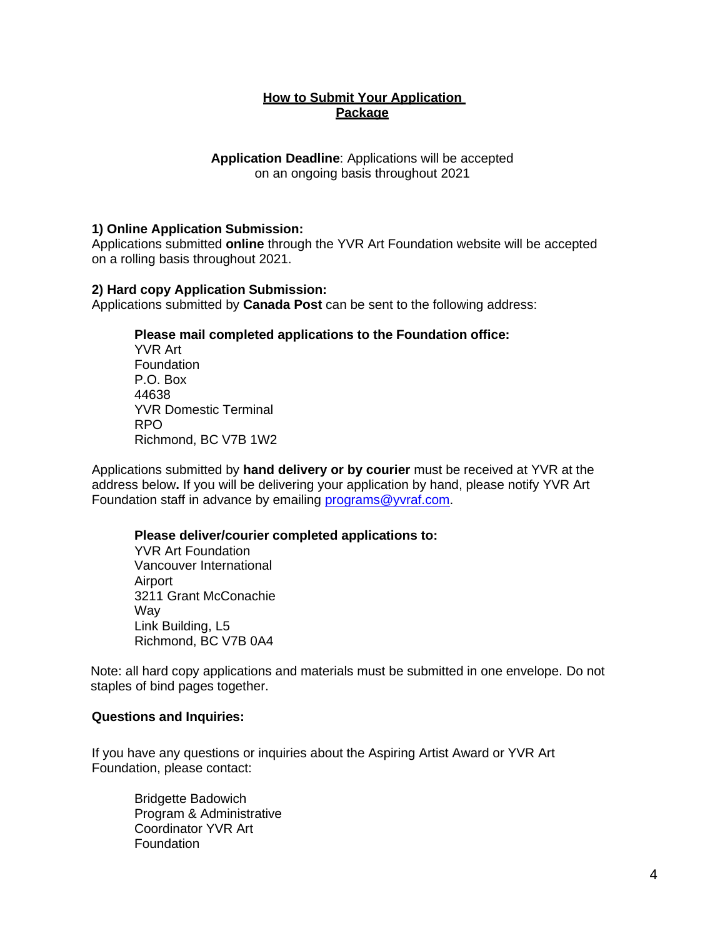### **How to Submit Your Application Package**

**Application Deadline**: Applications will be accepted on an ongoing basis throughout 2021

#### **1) Online Application Submission:**

Applications submitted **online** through the YVR Art Foundation website will be accepted on a rolling basis throughout 2021.

#### **2) Hard copy Application Submission:**

Applications submitted by **Canada Post** can be sent to the following address:

#### **Please mail completed applications to the Foundation office:**

YVR Art Foundation P.O. Box 44638 YVR Domestic Terminal RPO Richmond, BC V7B 1W2

Applications submitted by **hand delivery or by courier** must be received at YVR at the address below**.** If you will be delivering your application by hand, please notify YVR Art Foundation staff in advance by emailing [programs@yvraf.com.](mailto:programs@yvraf.com)

#### **Please deliver/courier completed applications to:**

YVR Art Foundation Vancouver International Airport 3211 Grant McConachie Way Link Building, L5 Richmond, BC V7B 0A4

Note: all hard copy applications and materials must be submitted in one envelope. Do not staples of bind pages together.

#### **Questions and Inquiries:**

If you have any questions or inquiries about the Aspiring Artist Award or YVR Art Foundation, please contact:

Bridgette Badowich Program & Administrative Coordinator YVR Art Foundation